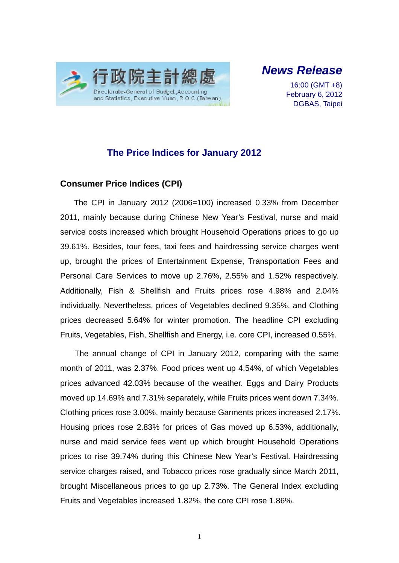

*News Release* 

16:00 (GMT +8) February 6, 2012 DGBAS, Taipei

### **The Price Indices for January 2012**

#### **Consumer Price Indices (CPI)**

The CPI in January 2012 (2006=100) increased 0.33% from December 2011, mainly because during Chinese New Year's Festival, nurse and maid service costs increased which brought Household Operations prices to go up 39.61%. Besides, tour fees, taxi fees and hairdressing service charges went up, brought the prices of Entertainment Expense, Transportation Fees and Personal Care Services to move up 2.76%, 2.55% and 1.52% respectively. Additionally, Fish & Shellfish and Fruits prices rose 4.98% and 2.04% individually. Nevertheless, prices of Vegetables declined 9.35%, and Clothing prices decreased 5.64% for winter promotion. The headline CPI excluding Fruits, Vegetables, Fish, Shellfish and Energy, i.e. core CPI, increased 0.55%.

The annual change of CPI in January 2012, comparing with the same month of 2011, was 2.37%. Food prices went up 4.54%, of which Vegetables prices advanced 42.03% because of the weather. Eggs and Dairy Products moved up 14.69% and 7.31% separately, while Fruits prices went down 7.34%. Clothing prices rose 3.00%, mainly because Garments prices increased 2.17%. Housing prices rose 2.83% for prices of Gas moved up 6.53%, additionally, nurse and maid service fees went up which brought Household Operations prices to rise 39.74% during this Chinese New Year's Festival. Hairdressing service charges raised, and Tobacco prices rose gradually since March 2011, brought Miscellaneous prices to go up 2.73%. The General Index excluding Fruits and Vegetables increased 1.82%, the core CPI rose 1.86%.

1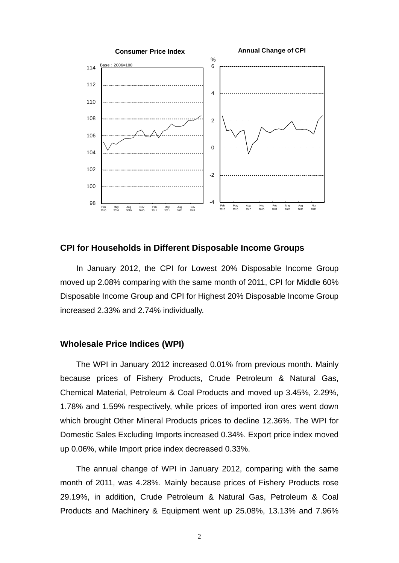

#### **CPI for Households in Different Disposable Income Groups**

In January 2012, the CPI for Lowest 20% Disposable Income Group moved up 2.08% comparing with the same month of 2011, CPI for Middle 60% Disposable Income Group and CPI for Highest 20% Disposable Income Group increased 2.33% and 2.74% individually.

#### **Wholesale Price Indices (WPI)**

The WPI in January 2012 increased 0.01% from previous month. Mainly because prices of Fishery Products, Crude Petroleum & Natural Gas, Chemical Material, Petroleum & Coal Products and moved up 3.45%, 2.29%, 1.78% and 1.59% respectively, while prices of imported iron ores went down which brought Other Mineral Products prices to decline 12.36%. The WPI for Domestic Sales Excluding Imports increased 0.34%. Export price index moved up 0.06%, while Import price index decreased 0.33%.

The annual change of WPI in January 2012, comparing with the same month of 2011, was 4.28%. Mainly because prices of Fishery Products rose 29.19%, in addition, Crude Petroleum & Natural Gas, Petroleum & Coal Products and Machinery & Equipment went up 25.08%, 13.13% and 7.96%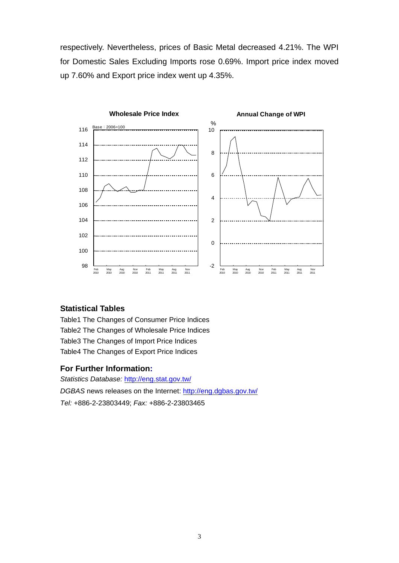respectively. Nevertheless, prices of Basic Metal decreased 4.21%. The WPI for Domestic Sales Excluding Imports rose 0.69%. Import price index moved up 7.60% and Export price index went up 4.35%.



#### **Statistical Tables**

Table1 The Changes of Consumer Price Indices Table2 The Changes of Wholesale Price Indices Table3 The Changes of Import Price Indices Table4 The Changes of Export Price Indices

#### **For Further Information:**

*Statistics Database:* http://eng.stat.gov.tw/ *DGBAS* news releases on the Internet: http://eng.dgbas.gov.tw/ *Tel:* +886-2-23803449; *Fax:* +886-2-23803465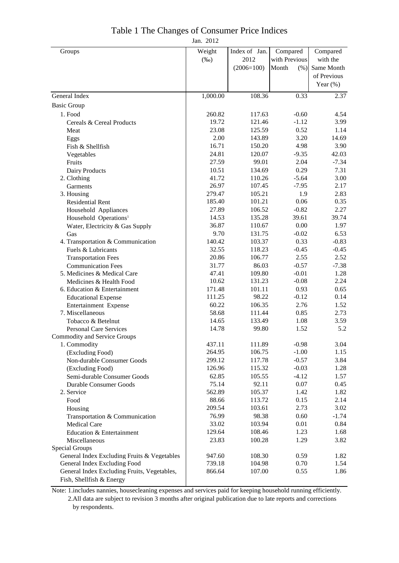# Table 1 The Changes of Consumer Price Indices

Jan. 2012

| Groups                                                | Weight          | Index of Jan.   | Compared      | Compared     |
|-------------------------------------------------------|-----------------|-----------------|---------------|--------------|
|                                                       | $(\%0)$         | 2012            | with Previous | with the     |
|                                                       |                 | $(2006=100)$    | Month<br>(% ) | Same Month   |
|                                                       |                 |                 |               | of Previous  |
|                                                       |                 |                 |               | Year $(\% )$ |
| General Index                                         | 1,000.00        | 108.36          | 0.33          | 2.37         |
| <b>Basic Group</b>                                    |                 |                 |               |              |
| 1. Food                                               | 260.82          | 117.63          | $-0.60$       | 4.54         |
| Cereals & Cereal Products                             | 19.72           | 121.46          | $-1.12$       | 3.99         |
| Meat                                                  | 23.08           | 125.59          | 0.52          | 1.14         |
| Eggs                                                  | 2.00            | 143.89          | 3.20          | 14.69        |
| Fish & Shellfish                                      | 16.71           | 150.20          | 4.98          | 3.90         |
| Vegetables                                            | 24.81           | 120.07          | $-9.35$       | 42.03        |
| Fruits                                                | 27.59           | 99.01           | 2.04          | $-7.34$      |
| Dairy Products                                        | 10.51           | 134.69          | 0.29          | 7.31         |
| 2. Clothing                                           | 41.72           | 110.26          | $-5.64$       | 3.00         |
| Garments                                              | 26.97           | 107.45          | $-7.95$       | 2.17         |
| 3. Housing                                            | 279.47          | 105.21          | 1.9           | 2.83         |
| <b>Residential Rent</b>                               | 185.40          | 101.21          | 0.06          | 0.35         |
| Household Appliances                                  | 27.89           | 106.52          | $-0.82$       | 2.27         |
| Household Operations <sup>1</sup>                     | 14.53           | 135.28          | 39.61         | 39.74        |
| Water, Electricity & Gas Supply                       | 36.87           | 110.67          | 0.00          | 1.97         |
| Gas                                                   | 9.70            | 131.75          | $-0.02$       | 6.53         |
| 4. Transportation & Communication                     | 140.42          | 103.37          | 0.33          | $-0.83$      |
| Fuels & Lubricants                                    | 32.55           | 118.23          | $-0.45$       | $-0.45$      |
| <b>Transportation Fees</b>                            | 20.86           | 106.77          | 2.55          | 2.52         |
| <b>Communication Fees</b>                             | 31.77           | 86.03           | $-0.57$       | $-7.38$      |
| 5. Medicines & Medical Care                           | 47.41           | 109.80          | $-0.01$       | 1.28         |
| Medicines & Health Food                               | 10.62           | 131.23          | $-0.08$       | 2.24         |
| 6. Education & Entertainment                          | 171.48          | 101.11          | 0.93          | 0.65         |
| <b>Educational Expense</b>                            | 111.25          | 98.22           | $-0.12$       | 0.14         |
| Entertainment Expense                                 | 60.22           | 106.35          | 2.76          | 1.52         |
| 7. Miscellaneous                                      | 58.68           | 111.44          | 0.85          | 2.73         |
| Tobacco & Betelnut                                    | 14.65           | 133.49          | 1.08          | 3.59         |
| <b>Personal Care Services</b>                         | 14.78           | 99.80           | 1.52          | 5.2          |
| Commodity and Service Groups                          |                 |                 |               |              |
| 1. Commodity                                          | 437.11          | 111.89          | $-0.98$       | 3.04         |
| (Excluding Food)                                      | 264.95          | 106.75          | $-1.00$       | 1.15         |
| Non-durable Consumer Goods                            | 299.12          | 117.78          | $-0.57$       | 3.84         |
| (Excluding Food)                                      | 126.96          | 115.32          | $-0.03$       | 1.28         |
| Semi-durable Consumer Goods                           | 62.85           | 105.55          | $-4.12$       | 1.57         |
| Durable Consumer Goods                                | 75.14           | 92.11<br>105.37 | 0.07          | 0.45         |
| 2. Service                                            | 562.89<br>88.66 | 113.72          | 1.42<br>0.15  | 1.82<br>2.14 |
| Food                                                  | 209.54          | 103.61          | 2.73          | 3.02         |
| Housing                                               | 76.99           | 98.38           | 0.60          | $-1.74$      |
| Transportation & Communication<br><b>Medical Care</b> | 33.02           | 103.94          | 0.01          | 0.84         |
| Education & Entertainment                             | 129.64          | 108.46          | 1.23          | 1.68         |
| Miscellaneous                                         | 23.83           | 100.28          | 1.29          | 3.82         |
| Special Groups                                        |                 |                 |               |              |
| General Index Excluding Fruits & Vegetables           | 947.60          | 108.30          | 0.59          | 1.82         |
| General Index Excluding Food                          | 739.18          | 104.98          | 0.70          | 1.54         |
| General Index Excluding Fruits, Vegetables,           | 866.64          | 107.00          | 0.55          | 1.86         |
| Fish, Shellfish & Energy                              |                 |                 |               |              |

Note: 1.includes nannies, housecleaning expenses and services paid for keeping household running efficiently. 2.All data are subject to revision 3 months after original publication due to late reports and corrections by respondents.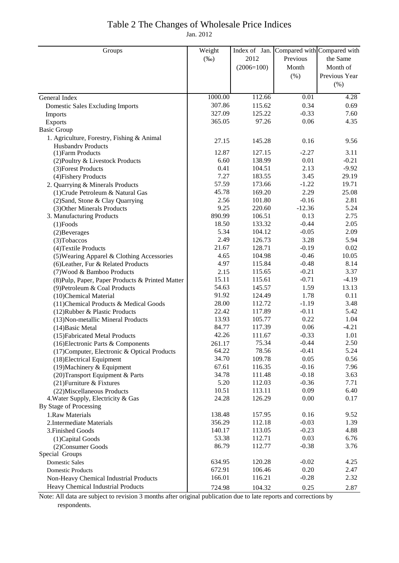### Table 2 The Changes of Wholesale Price Indices

Jan. 2012

| Groups                                           | Weight  | Index of Jan. |          | Compared with Compared with |
|--------------------------------------------------|---------|---------------|----------|-----------------------------|
|                                                  | $(\%0)$ | 2012          | Previous | the Same                    |
|                                                  |         | $(2006=100)$  | Month    | Month of                    |
|                                                  |         |               | (% )     | Previous Year               |
|                                                  |         |               |          | (%)                         |
|                                                  |         |               |          |                             |
| General Index                                    | 1000.00 | 112.66        | 0.01     | 4.28                        |
| Domestic Sales Excluding Imports                 | 307.86  | 115.62        | 0.34     | 0.69                        |
| Imports                                          | 327.09  | 125.22        | $-0.33$  | 7.60                        |
| Exports                                          | 365.05  | 97.26         | 0.06     | 4.35                        |
| <b>Basic Group</b>                               |         |               |          |                             |
| 1. Agriculture, Forestry, Fishing & Animal       | 27.15   | 145.28        | 0.16     | 9.56                        |
| <b>Husbandry Products</b><br>(1) Farm Products   | 12.87   | 127.15        | $-2.27$  | 3.11                        |
| (2) Poultry & Livestock Products                 | 6.60    | 138.99        | 0.01     | $-0.21$                     |
| (3) Forest Products                              | 0.41    | 104.51        | 2.13     | $-9.92$                     |
| (4) Fishery Products                             | 7.27    | 183.55        | 3.45     | 29.19                       |
| 2. Quarrying & Minerals Products                 | 57.59   | 173.66        | $-1.22$  | 19.71                       |
| (1) Crude Petroleum & Natural Gas                | 45.78   | 169.20        | 2.29     | 25.08                       |
| (2) Sand, Stone & Clay Quarrying                 | 2.56    | 101.80        | $-0.16$  | 2.81                        |
| (3) Other Minerals Products                      | 9.25    | 220.60        | $-12.36$ | 5.24                        |
| 3. Manufacturing Products                        | 890.99  | 106.51        | 0.13     | 2.75                        |
| $(1)$ Foods                                      | 18.50   | 133.32        | $-0.44$  | 2.05                        |
| $(2)$ Beverages                                  | 5.34    | 104.12        | $-0.05$  | 2.09                        |
| (3) Tobaccos                                     | 2.49    | 126.73        | 3.28     | 5.94                        |
| (4) Textile Products                             | 21.67   | 128.71        | $-0.19$  | 0.02                        |
| (5) Wearing Apparel & Clothing Accessories       | 4.65    | 104.98        | $-0.46$  | 10.05                       |
| (6) Leather, Fur & Related Products              | 4.97    | 115.84        | $-0.48$  | 8.14                        |
| (7) Wood & Bamboo Products                       | 2.15    | 115.65        | $-0.21$  | 3.37                        |
| (8) Pulp, Paper, Paper Products & Printed Matter | 15.11   | 115.61        | $-0.71$  | $-4.19$                     |
| (9) Petroleum & Coal Products                    | 54.63   | 145.57        | 1.59     | 13.13                       |
| (10)Chemical Material                            | 91.92   | 124.49        | 1.78     | 0.11                        |
| (11) Chemical Products & Medical Goods           | 28.00   | 112.72        | $-1.19$  | 3.48                        |
| (12) Rubber & Plastic Products                   | 22.42   | 117.89        | $-0.11$  | 5.42                        |
| (13) Non-metallic Mineral Products               | 13.93   | 105.77        | 0.22     | 1.04                        |
| (14) Basic Metal                                 | 84.77   | 117.39        | 0.06     | $-4.21$                     |
| (15) Fabricated Metal Products                   | 42.26   | 111.67        | $-0.33$  | 1.01                        |
| $(16)$ Electronic Parts & Components             | 261.17  | 75.34         | $-0.44$  | 2.50                        |
| (17) Computer, Electronic & Optical Products     | 64.22   | 78.56         | $-0.41$  | 5.24                        |
| (18) Electrical Equipment                        | 34.70   | 109.78        | 0.05     | 0.56                        |
| (19) Machinery & Equipment                       | 67.61   | 116.35        | $-0.16$  | 7.96                        |
| (20) Transport Equipment & Parts                 | 34.78   | 111.48        | $-0.18$  | 3.63                        |
| (21) Furniture & Fixtures                        | 5.20    | 112.03        | $-0.36$  | 7.71                        |
| (22) Miscellaneous Products                      | 10.51   | 113.11        | 0.09     | 6.40                        |
| 4. Water Supply, Electricity & Gas               | 24.28   | 126.29        | 0.00     | 0.17                        |
| By Stage of Processing                           |         |               |          |                             |
| 1.Raw Materials                                  | 138.48  | 157.95        | 0.16     | 9.52                        |
| 2. Intermediate Materials                        | 356.29  | 112.18        | $-0.03$  | 1.39                        |
| 3. Finished Goods                                | 140.17  | 113.05        | $-0.23$  | 4.88                        |
| (1) Capital Goods                                | 53.38   | 112.71        | 0.03     | 6.76                        |
| (2) Consumer Goods                               | 86.79   | 112.77        | $-0.38$  | 3.76                        |
| Special Groups                                   |         |               |          |                             |
| <b>Domestic Sales</b>                            | 634.95  | 120.28        | $-0.02$  | 4.25                        |
| <b>Domestic Products</b>                         | 672.91  | 106.46        | 0.20     | 2.47                        |
| Non-Heavy Chemical Industrial Products           | 166.01  | 116.21        | $-0.28$  | 2.32                        |
| Heavy Chemical Industrial Products               | 724.98  | 104.32        | 0.25     | 2.87                        |

Note: All data are subject to revision 3 months after original publication due to late reports and corrections by respondents.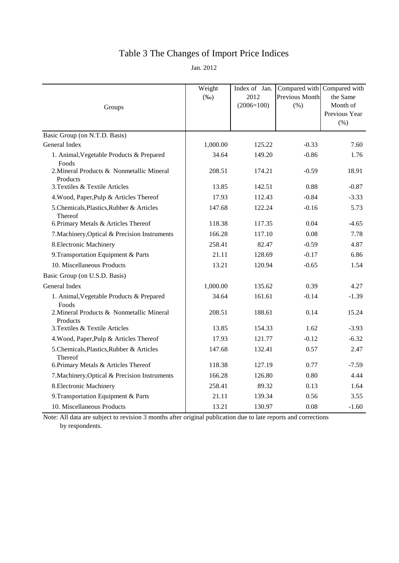## Table 3 The Changes of Import Price Indices

Jan. 2012

| Groups                                                | Weight<br>$(\%0)$ | Index of Jan.<br>2012<br>$(2006=100)$ | <b>Previous Month</b><br>(% ) | Compared with Compared with<br>the Same<br>Month of<br>Previous Year<br>(% ) |
|-------------------------------------------------------|-------------------|---------------------------------------|-------------------------------|------------------------------------------------------------------------------|
| Basic Group (on N.T.D. Basis)                         |                   |                                       |                               |                                                                              |
| General Index                                         | 1,000.00          | 125.22                                | $-0.33$                       | 7.60                                                                         |
| 1. Animal, Vegetable Products & Prepared<br>Foods     | 34.64             | 149.20                                | $-0.86$                       | 1.76                                                                         |
| 2. Mineral Products & Nonmetallic Mineral<br>Products | 208.51            | 174.21                                | $-0.59$                       | 18.91                                                                        |
| 3. Textiles & Textile Articles                        | 13.85             | 142.51                                | 0.88                          | $-0.87$                                                                      |
| 4. Wood, Paper, Pulp & Articles Thereof               | 17.93             | 112.43                                | $-0.84$                       | $-3.33$                                                                      |
| 5. Chemicals, Plastics, Rubber & Articles<br>Thereof  | 147.68            | 122.24                                | $-0.16$                       | 5.73                                                                         |
| 6. Primary Metals & Articles Thereof                  | 118.38            | 117.35                                | 0.04                          | $-4.65$                                                                      |
| 7. Machinery, Optical & Precision Instruments         | 166.28            | 117.10                                | 0.08                          | 7.78                                                                         |
| 8. Electronic Machinery                               | 258.41            | 82.47                                 | $-0.59$                       | 4.87                                                                         |
| 9. Transportation Equipment & Parts                   | 21.11             | 128.69                                | $-0.17$                       | 6.86                                                                         |
| 10. Miscellaneous Products                            | 13.21             | 120.94                                | $-0.65$                       | 1.54                                                                         |
| Basic Group (on U.S.D. Basis)                         |                   |                                       |                               |                                                                              |
| General Index                                         | 1,000.00          | 135.62                                | 0.39                          | 4.27                                                                         |
| 1. Animal, Vegetable Products & Prepared<br>Foods     | 34.64             | 161.61                                | $-0.14$                       | $-1.39$                                                                      |
| 2. Mineral Products & Nonmetallic Mineral<br>Products | 208.51            | 188.61                                | 0.14                          | 15.24                                                                        |
| 3. Textiles & Textile Articles                        | 13.85             | 154.33                                | 1.62                          | $-3.93$                                                                      |
| 4. Wood, Paper, Pulp & Articles Thereof               | 17.93             | 121.77                                | $-0.12$                       | $-6.32$                                                                      |
| 5. Chemicals, Plastics, Rubber & Articles<br>Thereof  | 147.68            | 132.41                                | 0.57                          | 2.47                                                                         |
| 6. Primary Metals & Articles Thereof                  | 118.38            | 127.19                                | 0.77                          | $-7.59$                                                                      |
| 7. Machinery, Optical & Precision Instruments         | 166.28            | 126.80                                | 0.80                          | 4.44                                                                         |
| 8. Electronic Machinery                               | 258.41            | 89.32                                 | 0.13                          | 1.64                                                                         |
| 9. Transportation Equipment & Parts                   | 21.11             | 139.34                                | 0.56                          | 3.55                                                                         |
| 10. Miscellaneous Products                            | 13.21             | 130.97                                | 0.08                          | $-1.60$                                                                      |

Note: All data are subject to revision 3 months after original publication due to late reports and corrections by respondents.